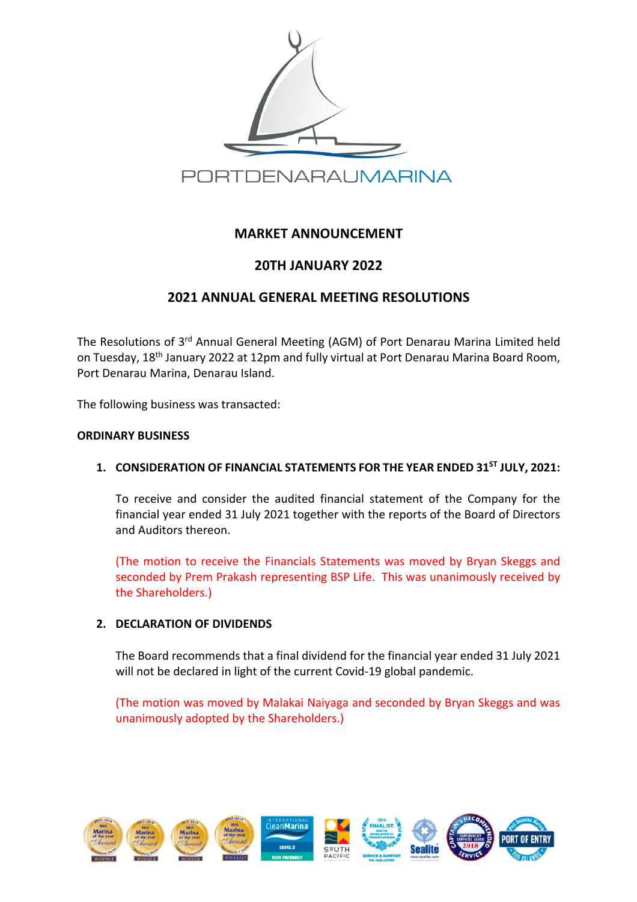

# **MARKET ANNOUNCEMENT**

# **20TH JANUARY 2022**

# **2021 ANNUAL GENERAL MEETING RESOLUTIONS**

The Resolutions of 3rd Annual General Meeting (AGM) of Port Denarau Marina Limited held on Tuesday, 18th January 2022 at 12pm and fully virtual at Port Denarau Marina Board Room, Port Denarau Marina, Denarau Island.

The following business was transacted:

#### **ORDINARY BUSINESS**

### **1. CONSIDERATION OF FINANCIAL STATEMENTS FOR THE YEAR ENDED 31ST JULY, 2021:**

To receive and consider the audited financial statement of the Company for the financial year ended 31 July 2021 together with the reports of the Board of Directors and Auditors thereon.

(The motion to receive the Financials Statements was moved by Bryan Skeggs and seconded by Prem Prakash representing BSP Life. This was unanimously received by the Shareholders.)

### **2. DECLARATION OF DIVIDENDS**

The Board recommends that a final dividend for the financial year ended 31 July 2021 will not be declared in light of the current Covid-19 global pandemic.

(The motion was moved by Malakai Naiyaga and seconded by Bryan Skeggs and was unanimously adopted by the Shareholders.)